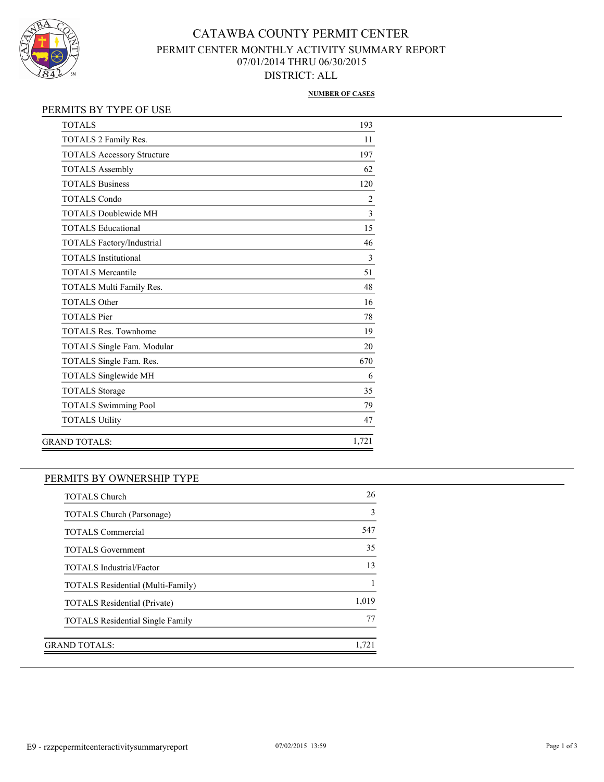

# CATAWBA COUNTY PERMIT CENTER PERMIT CENTER MONTHLY ACTIVITY SUMMARY REPORT 07/01/2014 THRU 06/30/2015 DISTRICT: ALL

#### **NUMBER OF CASES**

| <b>TOTALS</b>                     | 193            |
|-----------------------------------|----------------|
| TOTALS 2 Family Res.              | 11             |
| <b>TOTALS Accessory Structure</b> | 197            |
| <b>TOTALS Assembly</b>            | 62             |
| <b>TOTALS Business</b>            | 120            |
| <b>TOTALS Condo</b>               | $\overline{2}$ |
| <b>TOTALS Doublewide MH</b>       | 3              |
| <b>TOTALS Educational</b>         | 15             |
| TOTALS Factory/Industrial         | 46             |
| <b>TOTALS</b> Institutional       | $\overline{3}$ |
| <b>TOTALS Mercantile</b>          | 51             |
| TOTALS Multi Family Res.          | 48             |
| <b>TOTALS Other</b>               | 16             |
| <b>TOTALS</b> Pier                | 78             |
| <b>TOTALS Res. Townhome</b>       | 19             |
| TOTALS Single Fam. Modular        | 20             |
| TOTALS Single Fam. Res.           | 670            |
| <b>TOTALS Singlewide MH</b>       | 6              |
| <b>TOTALS Storage</b>             | 35             |
| <b>TOTALS Swimming Pool</b>       | 79             |
| <b>TOTALS Utility</b>             | 47             |
| <b>GRAND TOTALS:</b>              | 1,721          |
|                                   |                |

### PERMITS BY OWNERSHIP TYPE

| <b>TOTALS Church</b>                     | 26    |
|------------------------------------------|-------|
| <b>TOTALS Church (Parsonage)</b>         | 3     |
| <b>TOTALS Commercial</b>                 | 547   |
| <b>TOTALS</b> Government                 | 35    |
| <b>TOTALS</b> Industrial/Factor          | 13    |
| <b>TOTALS Residential (Multi-Family)</b> |       |
| <b>TOTALS Residential (Private)</b>      | 1,019 |
| <b>TOTALS</b> Residential Single Family  | 77    |
|                                          |       |
| GRAND TOTALS:                            | 1,721 |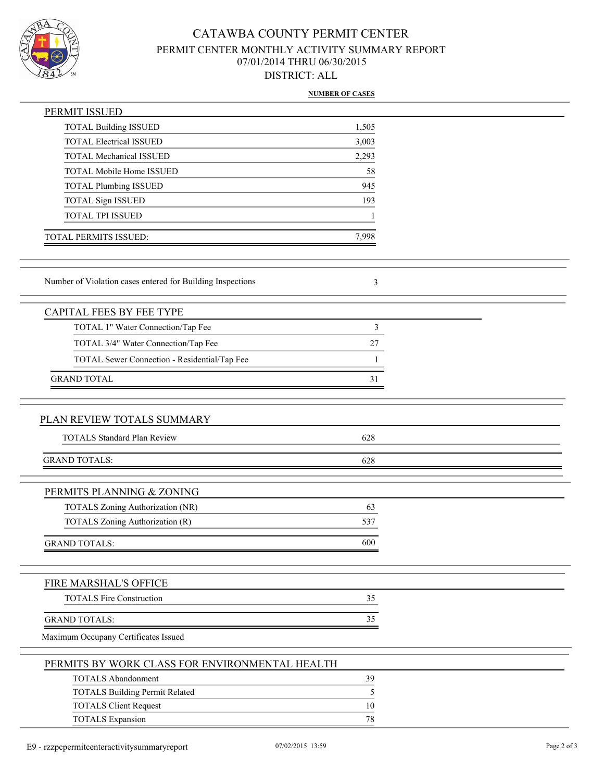

# CATAWBA COUNTY PERMIT CENTER PERMIT CENTER MONTHLY ACTIVITY SUMMARY REPORT 07/01/2014 THRU 06/30/2015 DISTRICT: ALL

#### **NUMBER OF CASES**

| PERMIT ISSUED                                              |               |  |
|------------------------------------------------------------|---------------|--|
| <b>TOTAL Building ISSUED</b>                               | 1,505         |  |
| <b>TOTAL Electrical ISSUED</b>                             | 3,003         |  |
| <b>TOTAL Mechanical ISSUED</b>                             | 2,293         |  |
| TOTAL Mobile Home ISSUED                                   | 58            |  |
| <b>TOTAL Plumbing ISSUED</b>                               | 945           |  |
| TOTAL Sign ISSUED                                          | 193           |  |
| TOTAL TPI ISSUED                                           |               |  |
| TOTAL PERMITS ISSUED:                                      | 7,998         |  |
| Number of Violation cases entered for Building Inspections | 3             |  |
| <b>CAPITAL FEES BY FEE TYPE</b>                            |               |  |
| TOTAL 1" Water Connection/Tap Fee                          | 3             |  |
| TOTAL 3/4" Water Connection/Tap Fee                        | 27            |  |
| TOTAL Sewer Connection - Residential/Tap Fee               | 1             |  |
| <b>GRAND TOTAL</b>                                         | 31            |  |
|                                                            |               |  |
| PLAN REVIEW TOTALS SUMMARY                                 |               |  |
| <b>TOTALS Standard Plan Review</b>                         | 628           |  |
| <b>GRAND TOTALS:</b>                                       | 628           |  |
|                                                            |               |  |
| PERMITS PLANNING & ZONING                                  |               |  |
| TOTALS Zoning Authorization (NR)                           | 63            |  |
| TOTALS Zoning Authorization (R)                            | 537           |  |
| <b>GRAND TOTALS:</b>                                       | 600           |  |
|                                                            |               |  |
| FIRE MARSHAL'S OFFICE                                      |               |  |
| <b>TOTALS Fire Construction</b>                            | 35            |  |
| <b>GRAND TOTALS:</b>                                       | 35            |  |
| Maximum Occupany Certificates Issued                       |               |  |
| PERMITS BY WORK CLASS FOR ENVIRONMENTAL HEALTH             |               |  |
| <b>TOTALS Abandonment</b>                                  | 39            |  |
| <b>TOTALS Building Permit Related</b>                      | $\mathfrak s$ |  |
| <b>TOTALS Client Request</b>                               | 10            |  |
| <b>TOTALS Expansion</b>                                    | 78            |  |